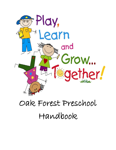

# Oak Forest Preschool Handbook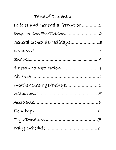# Table of Contents:

| Polícies and General Information1 |
|-----------------------------------|
| Registration Fee/Tuition2         |
| General Schedule/Holidays3        |
|                                   |
|                                   |
|                                   |
|                                   |
| Weather Closings/Delays5          |
|                                   |
|                                   |
|                                   |
|                                   |
|                                   |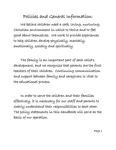### Policies and General Information:

 We believe children need a safe, loving, nurturing, Christian environment in which to thrive and to feel good about themselves. We work to provide experiences to help children develop physically, mentally, emotionally, socially and spiritually.

 The family is an important part of each child's development, and we recognize that parents are the first teachers of their children. Continuing communication and support between family and caregivers is vital to the educational process.

 In order to serve the children and their families effectively, it is necessary for our staff and parents to clearly understand their responsibilities to each other. The policy statements in this handbook will serve as the basis of our operation.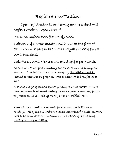#### Registration/Tuition:

Open registration is underway and preschool will begin Tuesday, September 3rd.

Preschool registration fees are \$75.00.

Tuition is \$180 per month and is due at the first of each month. Please make checks payable to Oak Forest UMC Preschool.

Oak Forest UMC Member Discount of \$5 per month.

Parents will be notified in writing and/or verbally of a delinquent account. If the tuition is not paid promptly, the child will not be allowed to return to the program until the account is brought up-todate.

A service charge of \$20.00 applies for any returned checks. If more than one check is returned during the school year or summer, future payments must be made by money order or certified check.

There will be no credits or refunds for absences due to illness or holidays. All questions and/or concerns regarding financial matters need to be discussed with the Director, thus relieving the teaching staff of this responsibility.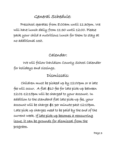#### General Schedule:

Preschool operates from 8:00am until 11:30pm. We will have lunch daily from 11:30 until 12:00. Please pack your child a nutritious lunch for them to stay at no additional cost.

#### Calendar:

 We will follow Davidson County School Calendar for holidays and closings.

#### Dismissals:

Children must be picked up by 12:00pm or a late fee will occur. A flat \$10 fee for late pick-up between 12:01-12:15pm will be charged to your account. In addition to the standard flat late pick-up fee, your account will be charge \$1 per minute past 12:15pm. Late pick up charges need to be paid by the end of the current week. If late pick-up becomes a reoccurring issue, it can be grounds for dismissal from the program.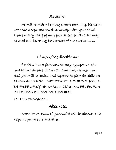#### Snacks:

We will provide a healthy snack each day. Please do not send a separate snack or candy with your child. Please notify staff of any food allergies. Snacks may be used as a learning tool or part of our curriculum.

Illness/Medications:

 If a child has a fever and/or any symptoms of a contagious disease (diarrhea, vomiting, chicken pox, etc.) you will be called and expected to pick the child up as soon as possible. IMPORTANT: A CHILD SHOULD BE FREE OF SYMPTOMS, INCLUDING FEVER FOR 24 HOURS BEFORE RETURNING

TO THE PROGRAM.

#### Absences:

 Please let us know if your child will be absent. This helps us prepare for activities.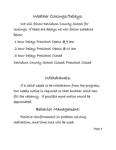#### Weather Closings/Delays:

 We will follow Davidson County School for closings. If there are delays we will follow schedule below:

1 hour Delay; Preschool Opens @ 9 am

2 hour Delay; Preschool Opens @ 10 am

3 hour Delay; Preschool Closed

Davidson County School Closed; Preschool Closed

Withdrawals:

 If a child needs to be withdrawn from the program, two weeks notice is required so that another child can fill the vacancy. If possible more notice would be appreciated.

Behavior Management:

 Positive reinforcement in problem solving, redirection, and time outs will be used.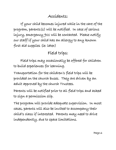#### Accidents:

 If your child becomes injured while in the care of the program, parents(s) will be notified. In case of serious injury, emergency 911 will be contacted. Please notify our staff if your child has an allergy to any known first aid supplies (ie: latex)

#### Field trips:

 Field trips may occasionally be offered for children to build experiences for learning.

Transportation for the children's field trips will be provided on the church buses. They are driven by an adult approved by the church Trustees.

Parents will be notified prior to all field trips and asked to sign a permission slip.

The program will provide adequate supervision. In most cases, parents will also be invited to accompany their child's class if interested. Parents may need to drive independently, due to space limitations.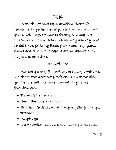Please do not send toys, handheld electronic devices, or any other special possessions to church with your child. Toys brought to the program may get broken or lost. Your child's teacher may advise you of special times for bring items from home. Toy guns, knives and other such weapons are not allowed at our program at any time.

#### Donations:

 Monetary and gift donations are always welcome. In order to keep our weekly tuition as low as possible, you are especially welcome to donate any of the following items:

- Tissues/paper towels
- Hand Sanitizer/hand soap
- Snacks( Goldfish, vanilla wafers, jello, fruit cups, pretzels)
- Playdough
- Craft supplies (smelly markers, stickers, glue sticks, etc.)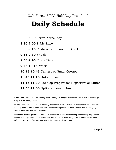#### Oak Forest UMC Half-Day Preschool

# **Daily Schedule**

**8:00-8:30** Arrival/Free Play

**8:30-9:00** Table Time

**9:00-9:15** Restroom/Prepare for Snack

**9:15-9:30** Snack

**9:30-9:45** Circle Time

**9:45-10:15** Music

**10:15-10:45** Centers or Small Groups

**10:45-11:15** Outside Time

**11:15-11:30** Pack Up Prepare for Departure or Lunch **11:30-12:00** Optional Lunch Bunch

*\*Table Time: Teaches children literacy, math, science, art, and fine motor skills. Activity will sometimes go along with our weekly theme.*

*\*\*Circle Time: Teacher will read to children, children will share, join in and raise questions. We will go over calendar, months, days of week and say the Pledge of Allegiance. This helps children with oral language, literacy, social skills, and math concepts.*

*\*\*\* Centers or small groups: Centers where children can choose independently what activity they want to engage in. Small groups is where children will be split up into to two groups ( if this applies) based upon, ability, interest, or random selection. New skills are practiced at this time.*